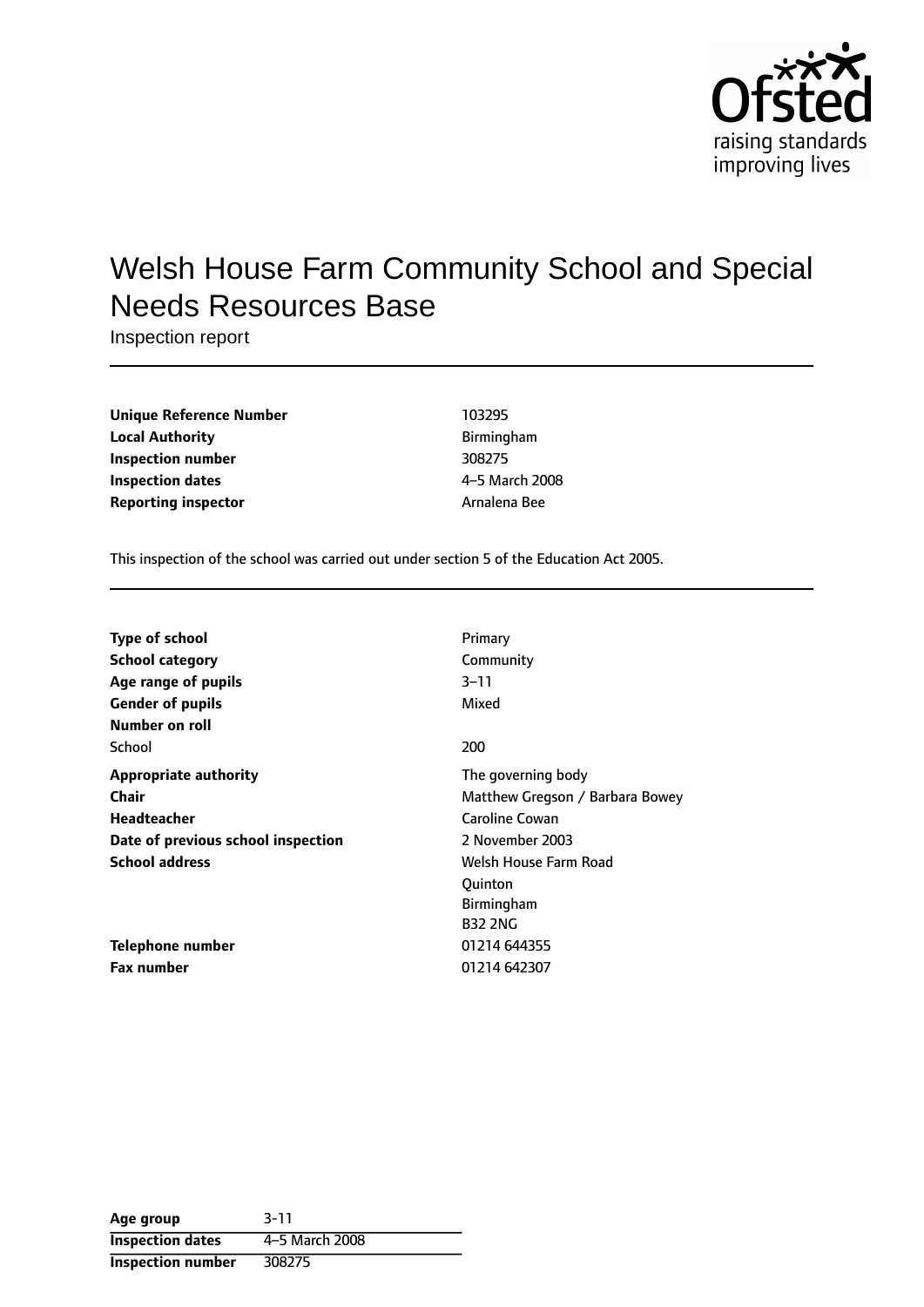

# Welsh House Farm Community School and Special Needs Resources Base

Inspection report

| Unique Reference Number    | 103295       |
|----------------------------|--------------|
| <b>Local Authority</b>     | Birmingham   |
| Inspection number          | 308275       |
| Inspection dates           | 4-5 March 20 |
| <b>Reporting inspector</b> | Arnalena Bee |

**Unique Reference Number** 103295 **Local Authority** Birmingham **Inspection number** 308275 **4-5 March 2008** 

This inspection of the school was carried out under section 5 of the Education Act 2005.

| <b>Type of school</b>              | Primary                         |
|------------------------------------|---------------------------------|
| <b>School category</b>             | Community                       |
| Age range of pupils                | $3 - 11$                        |
| <b>Gender of pupils</b>            | Mixed                           |
| Number on roll                     |                                 |
| School                             | 200                             |
| <b>Appropriate authority</b>       | The governing body              |
| <b>Chair</b>                       | Matthew Gregson / Barbara Bowey |
| <b>Headteacher</b>                 | Caroline Cowan                  |
| Date of previous school inspection | 2 November 2003                 |
| <b>School address</b>              | Welsh House Farm Road           |
|                                    | Ouinton                         |
|                                    | Birmingham                      |
|                                    | <b>B32 2NG</b>                  |
| <b>Telephone number</b>            | 01214 644355                    |
| Fax number                         | 01214 642307                    |

| Age group                | $3 - 11$       |
|--------------------------|----------------|
| <b>Inspection dates</b>  | 4-5 March 2008 |
| <b>Inspection number</b> | 308275         |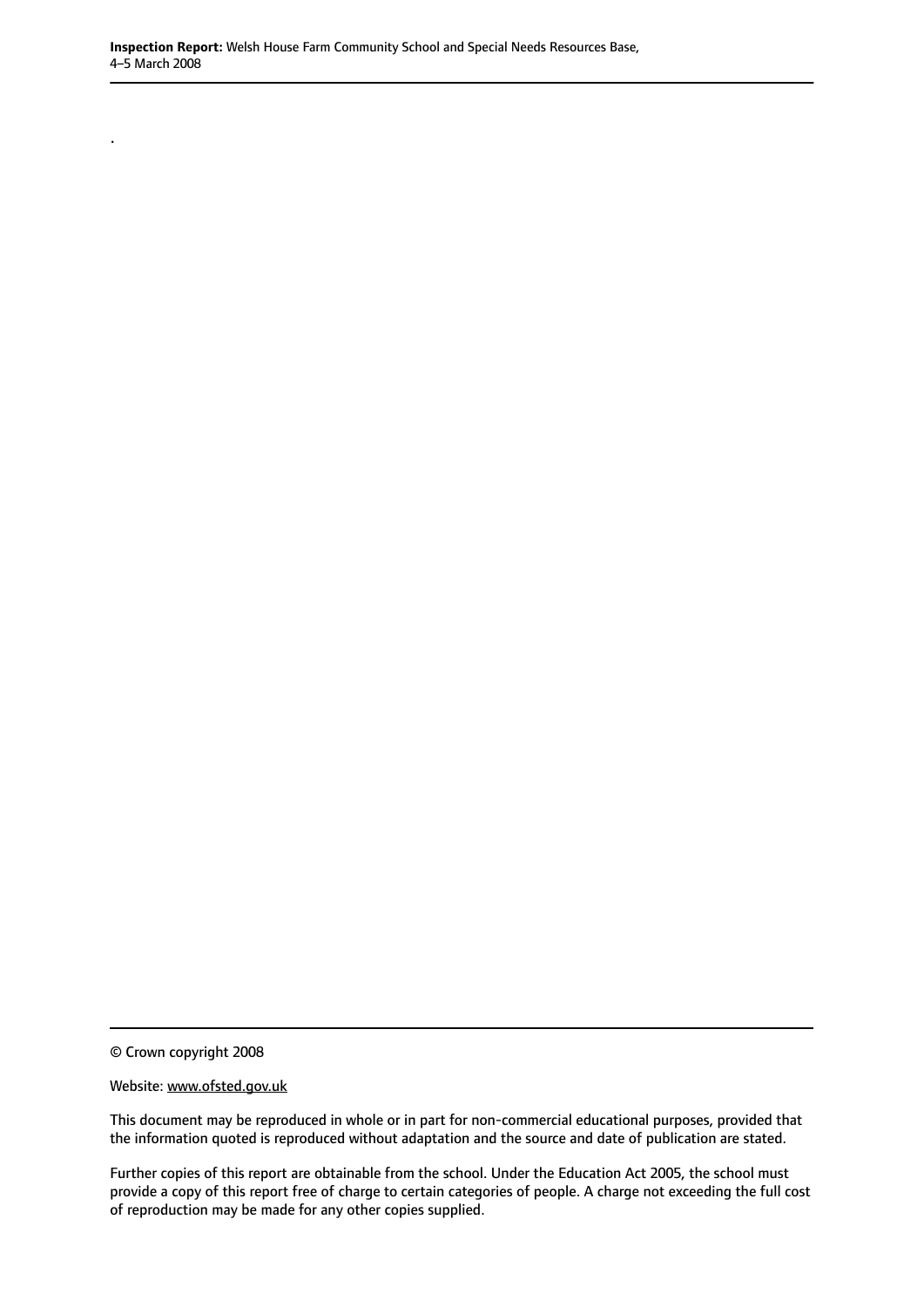© Crown copyright 2008

.

#### Website: www.ofsted.gov.uk

This document may be reproduced in whole or in part for non-commercial educational purposes, provided that the information quoted is reproduced without adaptation and the source and date of publication are stated.

Further copies of this report are obtainable from the school. Under the Education Act 2005, the school must provide a copy of this report free of charge to certain categories of people. A charge not exceeding the full cost of reproduction may be made for any other copies supplied.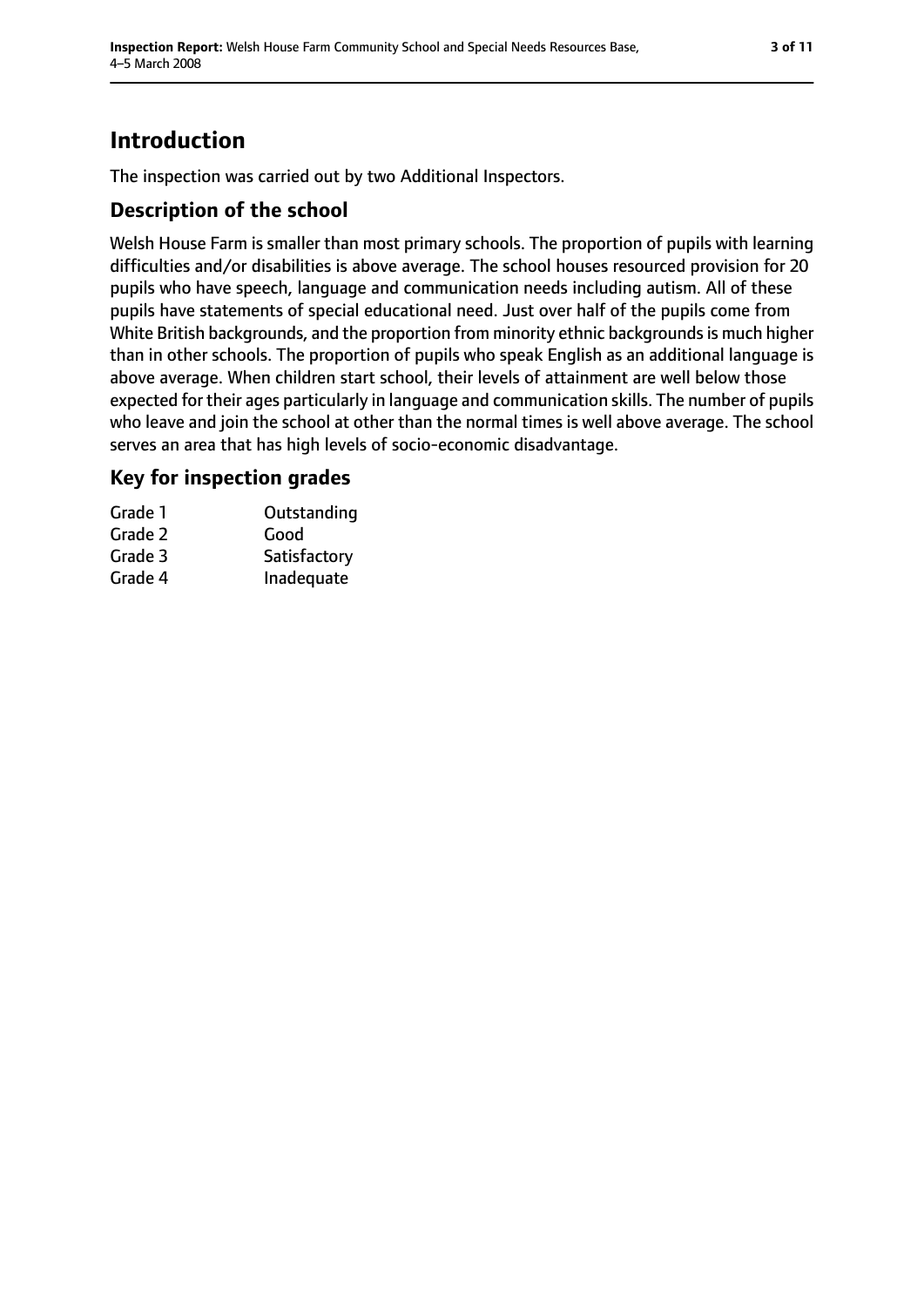## **Introduction**

The inspection was carried out by two Additional Inspectors.

## **Description of the school**

Welsh House Farm is smaller than most primary schools. The proportion of pupils with learning difficulties and/or disabilities is above average. The school houses resourced provision for 20 pupils who have speech, language and communication needs including autism. All of these pupils have statements of special educational need. Just over half of the pupils come from White British backgrounds, and the proportion from minority ethnic backgrounds is much higher than in other schools. The proportion of pupils who speak English as an additional language is above average. When children start school, their levels of attainment are well below those expected for their ages particularly in language and communication skills. The number of pupils who leave and join the school at other than the normal times is well above average. The school serves an area that has high levels of socio-economic disadvantage.

### **Key for inspection grades**

| Grade 1 | Outstanding  |
|---------|--------------|
| Grade 2 | Good         |
| Grade 3 | Satisfactory |
| Grade 4 | Inadequate   |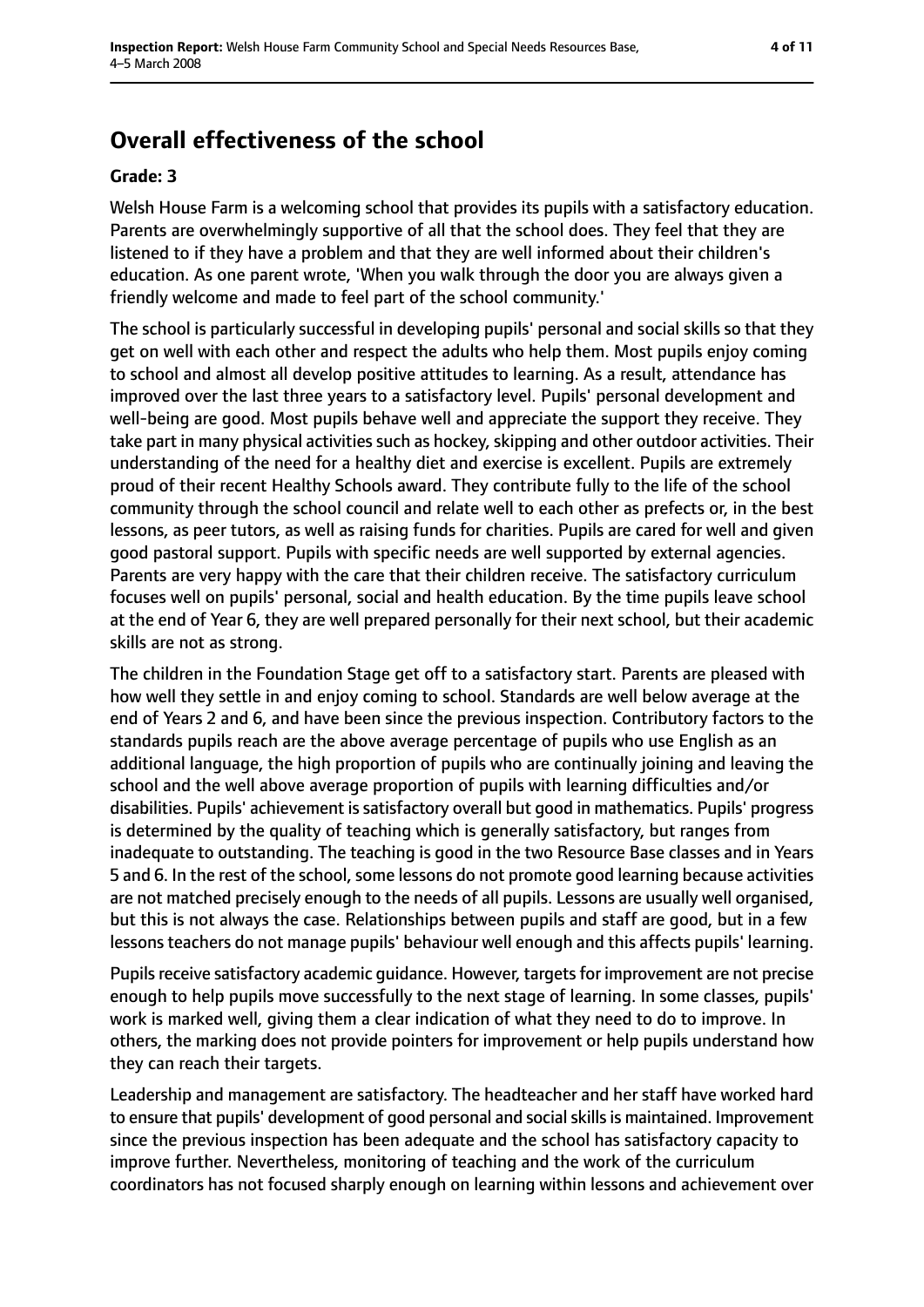## **Overall effectiveness of the school**

#### **Grade: 3**

Welsh House Farm is a welcoming school that provides its pupils with a satisfactory education. Parents are overwhelmingly supportive of all that the school does. They feel that they are listened to if they have a problem and that they are well informed about their children's education. As one parent wrote, 'When you walk through the door you are always given a friendly welcome and made to feel part of the school community.'

The school is particularly successful in developing pupils' personal and social skills so that they get on well with each other and respect the adults who help them. Most pupils enjoy coming to school and almost all develop positive attitudes to learning. As a result, attendance has improved over the last three years to a satisfactory level. Pupils' personal development and well-being are good. Most pupils behave well and appreciate the support they receive. They take part in many physical activities such as hockey, skipping and other outdoor activities. Their understanding of the need for a healthy diet and exercise is excellent. Pupils are extremely proud of their recent Healthy Schools award. They contribute fully to the life of the school community through the school council and relate well to each other as prefects or, in the best lessons, as peer tutors, as well as raising funds for charities. Pupils are cared for well and given good pastoral support. Pupils with specific needs are well supported by external agencies. Parents are very happy with the care that their children receive. The satisfactory curriculum focuses well on pupils' personal, social and health education. By the time pupils leave school at the end of Year 6, they are well prepared personally for their next school, but their academic skills are not as strong.

The children in the Foundation Stage get off to a satisfactory start. Parents are pleased with how well they settle in and enjoy coming to school. Standards are well below average at the end of Years 2 and 6, and have been since the previous inspection. Contributory factors to the standards pupils reach are the above average percentage of pupils who use English as an additional language, the high proportion of pupils who are continually joining and leaving the school and the well above average proportion of pupils with learning difficulties and/or disabilities. Pupils' achievement is satisfactory overall but good in mathematics. Pupils' progress is determined by the quality of teaching which is generally satisfactory, but ranges from inadequate to outstanding. The teaching is good in the two Resource Base classes and in Years 5 and 6. In the rest of the school, some lessons do not promote good learning because activities are not matched precisely enough to the needs of all pupils. Lessons are usually well organised, but this is not always the case. Relationships between pupils and staff are good, but in a few lessons teachers do not manage pupils' behaviour well enough and this affects pupils' learning.

Pupils receive satisfactory academic quidance. However, targets for improvement are not precise enough to help pupils move successfully to the next stage of learning. In some classes, pupils' work is marked well, giving them a clear indication of what they need to do to improve. In others, the marking does not provide pointers for improvement or help pupils understand how they can reach their targets.

Leadership and management are satisfactory. The headteacher and her staff have worked hard to ensure that pupils' development of good personal and social skills is maintained. Improvement since the previous inspection has been adequate and the school has satisfactory capacity to improve further. Nevertheless, monitoring of teaching and the work of the curriculum coordinators has not focused sharply enough on learning within lessons and achievement over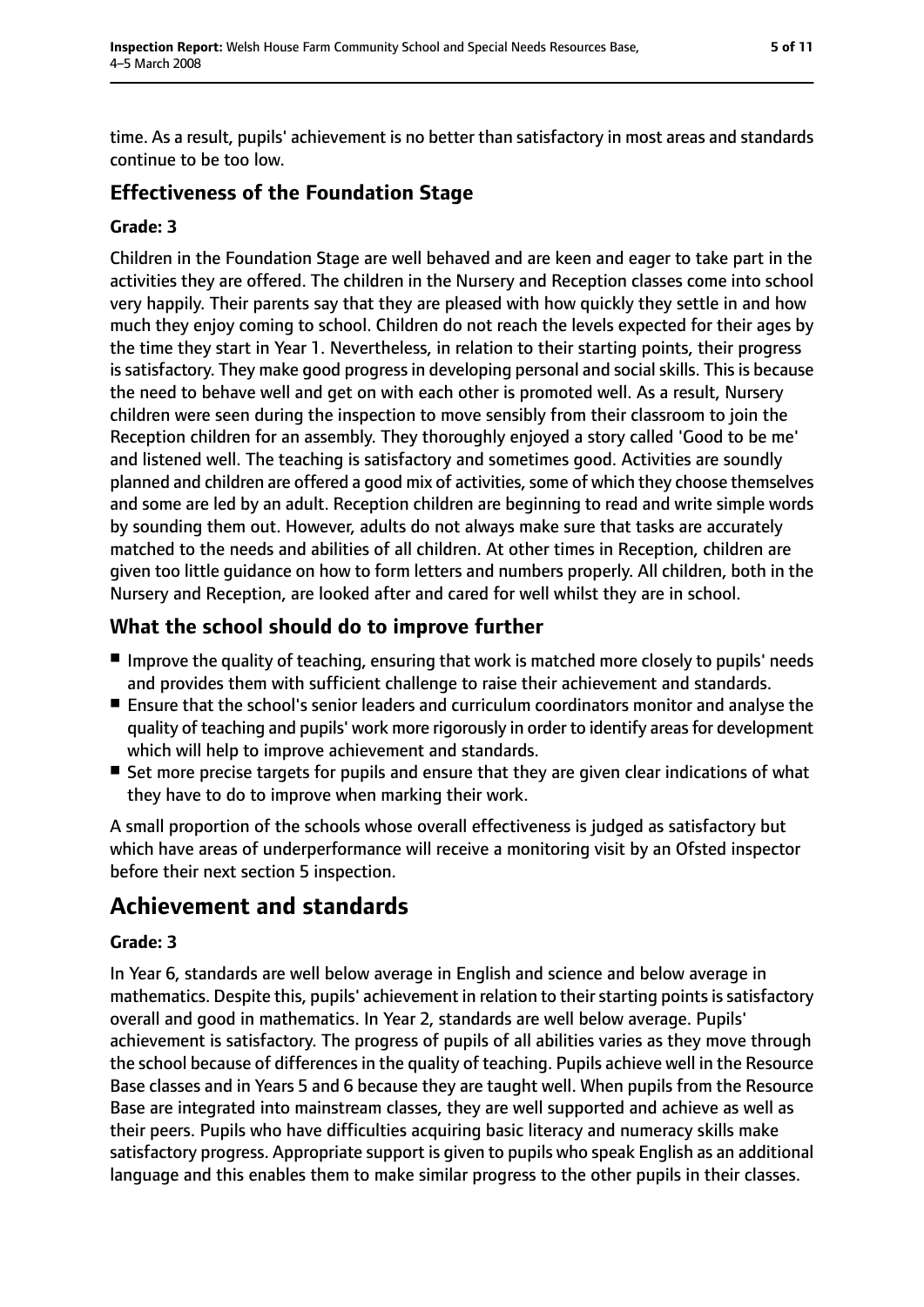time. As a result, pupils' achievement is no better than satisfactory in most areas and standards continue to be too low.

### **Effectiveness of the Foundation Stage**

#### **Grade: 3**

Children in the Foundation Stage are well behaved and are keen and eager to take part in the activities they are offered. The children in the Nursery and Reception classes come into school very happily. Their parents say that they are pleased with how quickly they settle in and how much they enjoy coming to school. Children do not reach the levels expected for their ages by the time they start in Year 1. Nevertheless, in relation to their starting points, their progress is satisfactory. They make good progress in developing personal and social skills. This is because the need to behave well and get on with each other is promoted well. As a result, Nursery children were seen during the inspection to move sensibly from their classroom to join the Reception children for an assembly. They thoroughly enjoyed a story called 'Good to be me' and listened well. The teaching is satisfactory and sometimes good. Activities are soundly planned and children are offered a good mix of activities, some of which they choose themselves and some are led by an adult. Reception children are beginning to read and write simple words by sounding them out. However, adults do not always make sure that tasks are accurately matched to the needs and abilities of all children. At other times in Reception, children are given too little guidance on how to form letters and numbers properly. All children, both in the Nursery and Reception, are looked after and cared for well whilst they are in school.

## **What the school should do to improve further**

- Improve the quality of teaching, ensuring that work is matched more closely to pupils' needs and provides them with sufficient challenge to raise their achievement and standards.
- Ensure that the school's senior leaders and curriculum coordinators monitor and analyse the quality of teaching and pupils' work more rigorously in order to identify areasfor development which will help to improve achievement and standards.
- Set more precise targets for pupils and ensure that they are given clear indications of what they have to do to improve when marking their work.

A small proportion of the schools whose overall effectiveness is judged as satisfactory but which have areas of underperformance will receive a monitoring visit by an Ofsted inspector before their next section 5 inspection.

## **Achievement and standards**

#### **Grade: 3**

In Year 6, standards are well below average in English and science and below average in mathematics. Despite this, pupils' achievement in relation to their starting points is satisfactory overall and good in mathematics. In Year 2, standards are well below average. Pupils' achievement is satisfactory. The progress of pupils of all abilities varies as they move through the school because of differences in the quality of teaching. Pupils achieve well in the Resource Base classes and in Years 5 and 6 because they are taught well. When pupils from the Resource Base are integrated into mainstream classes, they are well supported and achieve as well as their peers. Pupils who have difficulties acquiring basic literacy and numeracy skills make satisfactory progress. Appropriate support is given to pupils who speak English as an additional language and this enables them to make similar progress to the other pupils in their classes.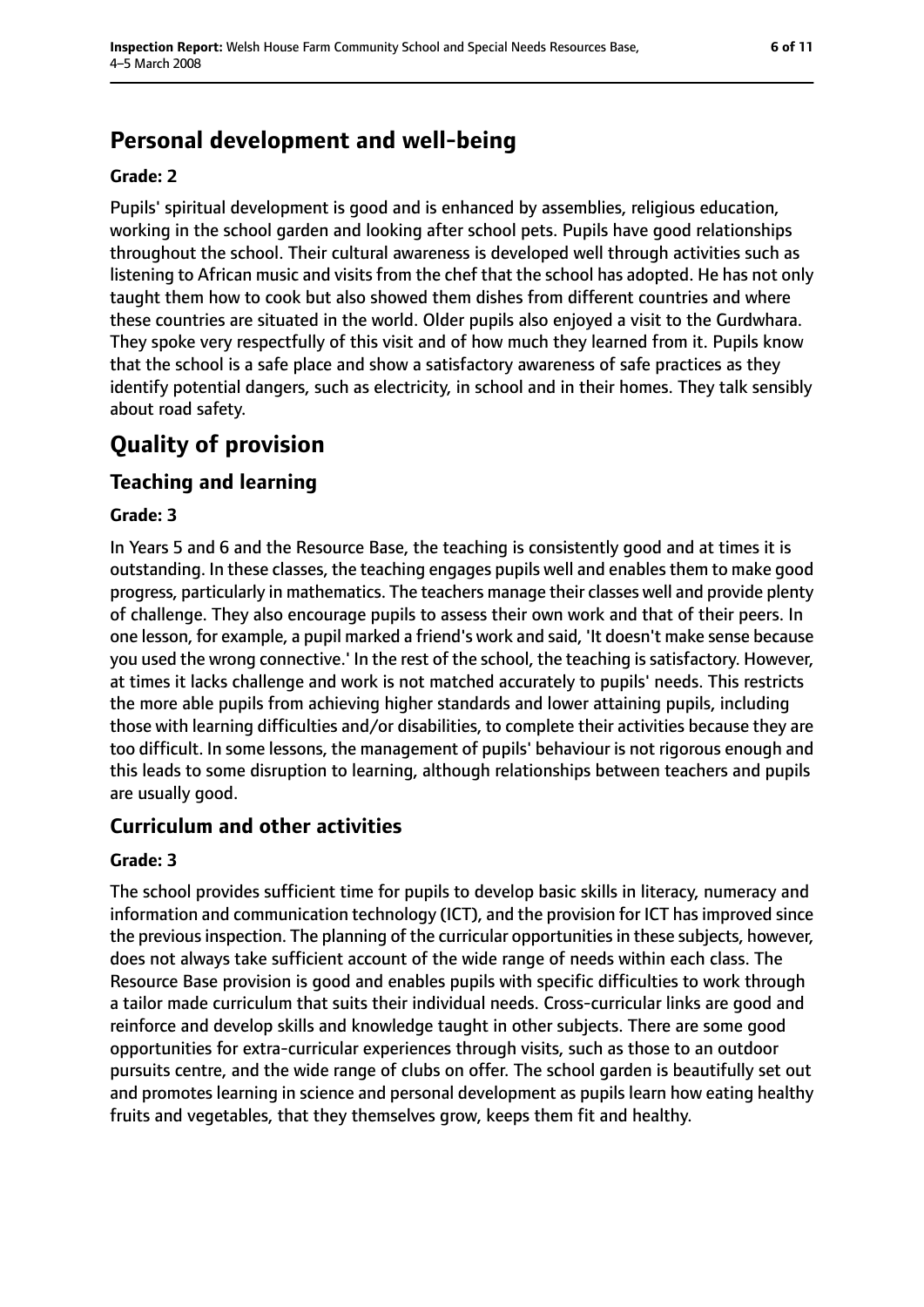## **Personal development and well-being**

#### **Grade: 2**

Pupils' spiritual development is good and is enhanced by assemblies, religious education, working in the school garden and looking after school pets. Pupils have good relationships throughout the school. Their cultural awareness is developed well through activities such as listening to African music and visits from the chef that the school has adopted. He has not only taught them how to cook but also showed them dishes from different countries and where these countries are situated in the world. Older pupils also enjoyed a visit to the Gurdwhara. They spoke very respectfully of this visit and of how much they learned from it. Pupils know that the school is a safe place and show a satisfactory awareness of safe practices as they identify potential dangers, such as electricity, in school and in their homes. They talk sensibly about road safety.

## **Quality of provision**

## **Teaching and learning**

### **Grade: 3**

In Years 5 and 6 and the Resource Base, the teaching is consistently good and at times it is outstanding. In these classes, the teaching engages pupils well and enables them to make good progress, particularly in mathematics. The teachers manage their classes well and provide plenty of challenge. They also encourage pupils to assess their own work and that of their peers. In one lesson, for example, a pupil marked a friend's work and said, 'It doesn't make sense because you used the wrong connective.' In the rest of the school, the teaching is satisfactory. However, at times it lacks challenge and work is not matched accurately to pupils' needs. This restricts the more able pupils from achieving higher standards and lower attaining pupils, including those with learning difficulties and/or disabilities, to complete their activities because they are too difficult. In some lessons, the management of pupils' behaviour is not rigorous enough and this leads to some disruption to learning, although relationships between teachers and pupils are usually good.

## **Curriculum and other activities**

### **Grade: 3**

The school provides sufficient time for pupils to develop basic skills in literacy, numeracy and information and communication technology (ICT), and the provision for ICT has improved since the previous inspection. The planning of the curricular opportunities in these subjects, however, does not always take sufficient account of the wide range of needs within each class. The Resource Base provision is good and enables pupils with specific difficulties to work through a tailor made curriculum that suits their individual needs. Cross-curricular links are good and reinforce and develop skills and knowledge taught in other subjects. There are some good opportunities for extra-curricular experiences through visits, such as those to an outdoor pursuits centre, and the wide range of clubs on offer. The school garden is beautifully set out and promotes learning in science and personal development as pupils learn how eating healthy fruits and vegetables, that they themselves grow, keeps them fit and healthy.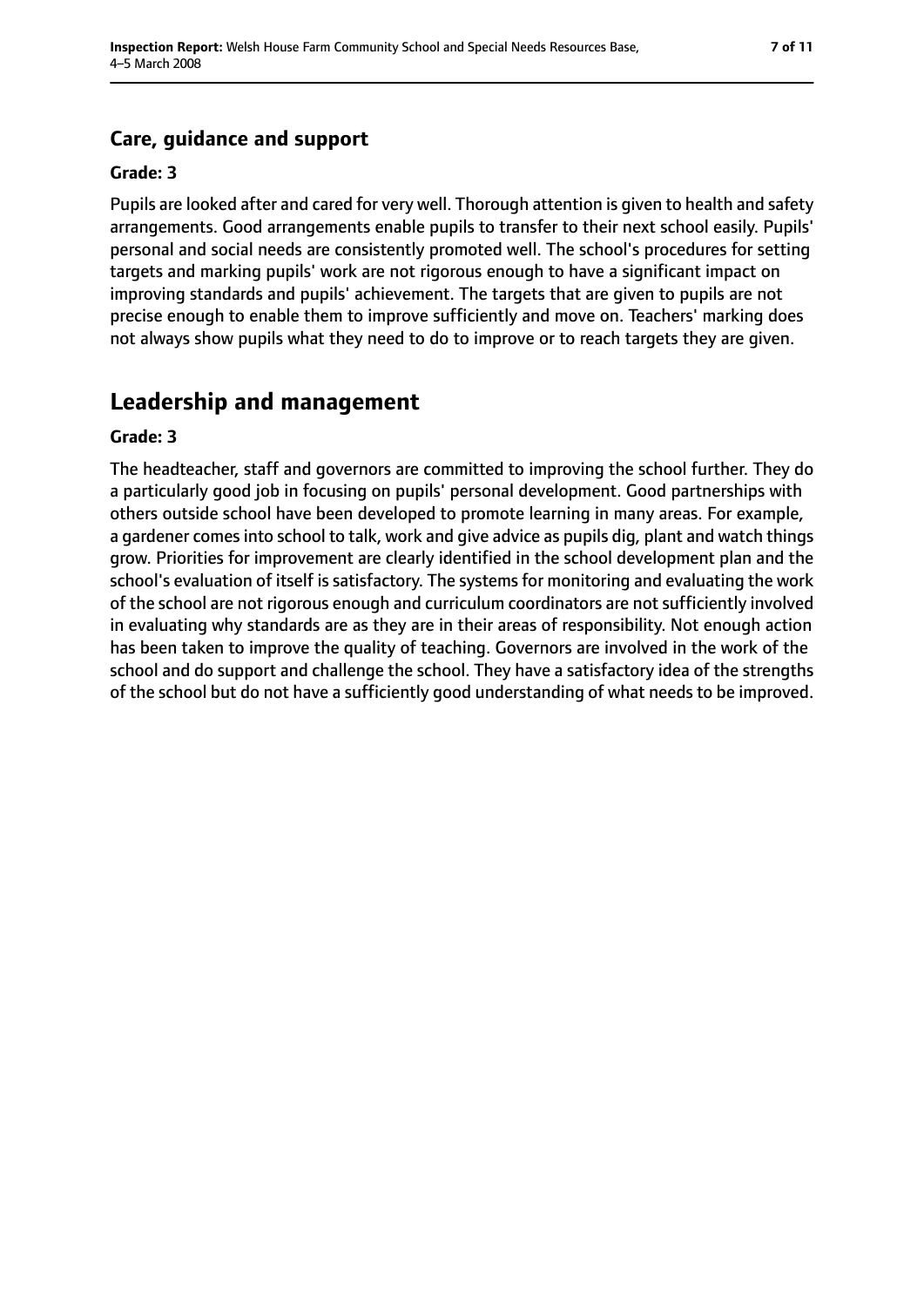## **Care, guidance and support**

#### **Grade: 3**

Pupils are looked after and cared for very well. Thorough attention is given to health and safety arrangements. Good arrangements enable pupils to transfer to their next school easily. Pupils' personal and social needs are consistently promoted well. The school's procedures for setting targets and marking pupils' work are not rigorous enough to have a significant impact on improving standards and pupils' achievement. The targets that are given to pupils are not precise enough to enable them to improve sufficiently and move on. Teachers' marking does not always show pupils what they need to do to improve or to reach targets they are given.

## **Leadership and management**

#### **Grade: 3**

The headteacher, staff and governors are committed to improving the school further. They do a particularly good job in focusing on pupils' personal development. Good partnerships with others outside school have been developed to promote learning in many areas. For example, a gardener comes into school to talk, work and give advice as pupils dig, plant and watch things grow. Priorities for improvement are clearly identified in the school development plan and the school's evaluation of itself is satisfactory. The systems for monitoring and evaluating the work of the school are not rigorous enough and curriculum coordinators are not sufficiently involved in evaluating why standards are as they are in their areas of responsibility. Not enough action has been taken to improve the quality of teaching. Governors are involved in the work of the school and do support and challenge the school. They have a satisfactory idea of the strengths of the school but do not have a sufficiently good understanding of what needs to be improved.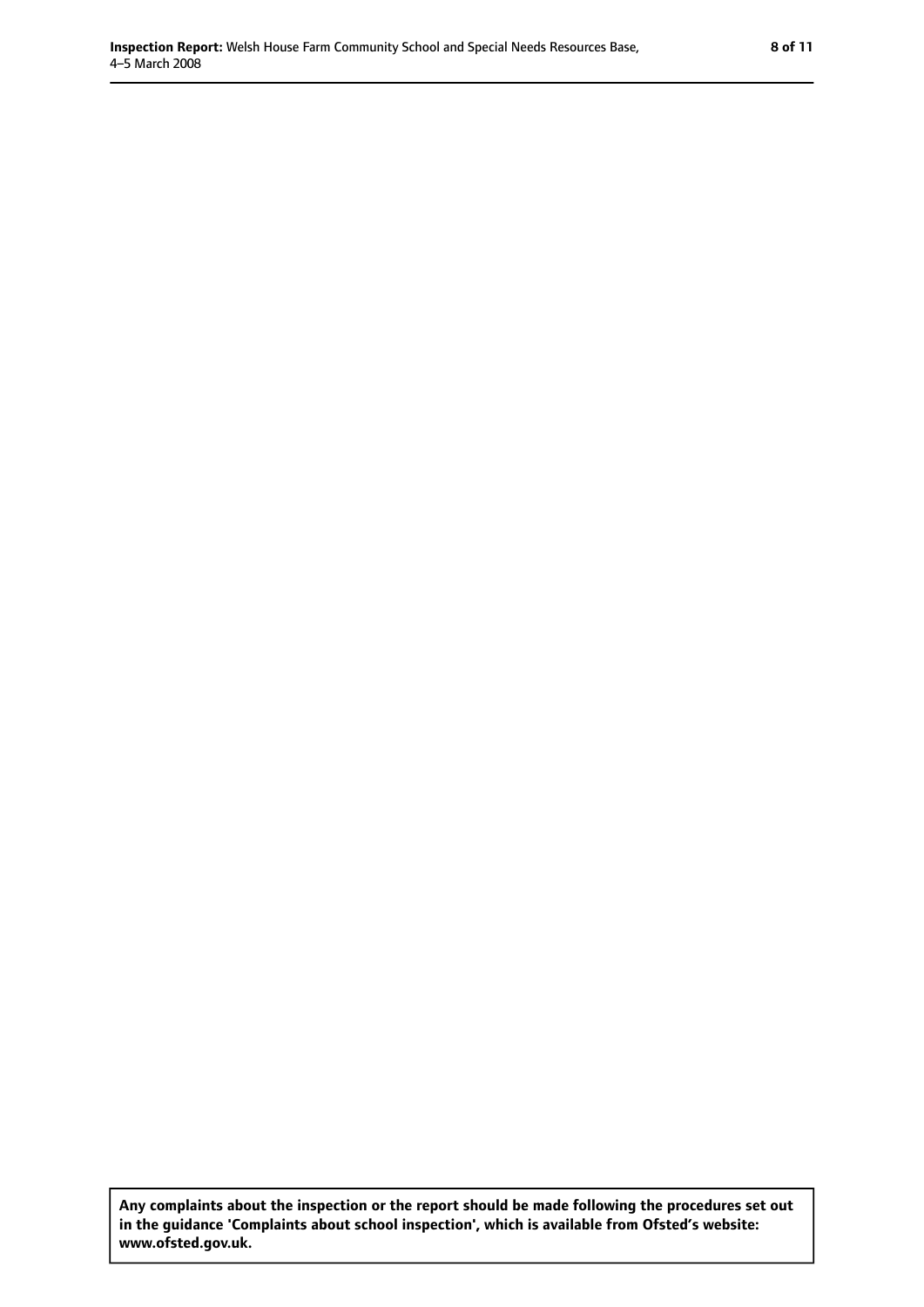**Any complaints about the inspection or the report should be made following the procedures set out in the guidance 'Complaints about school inspection', which is available from Ofsted's website: www.ofsted.gov.uk.**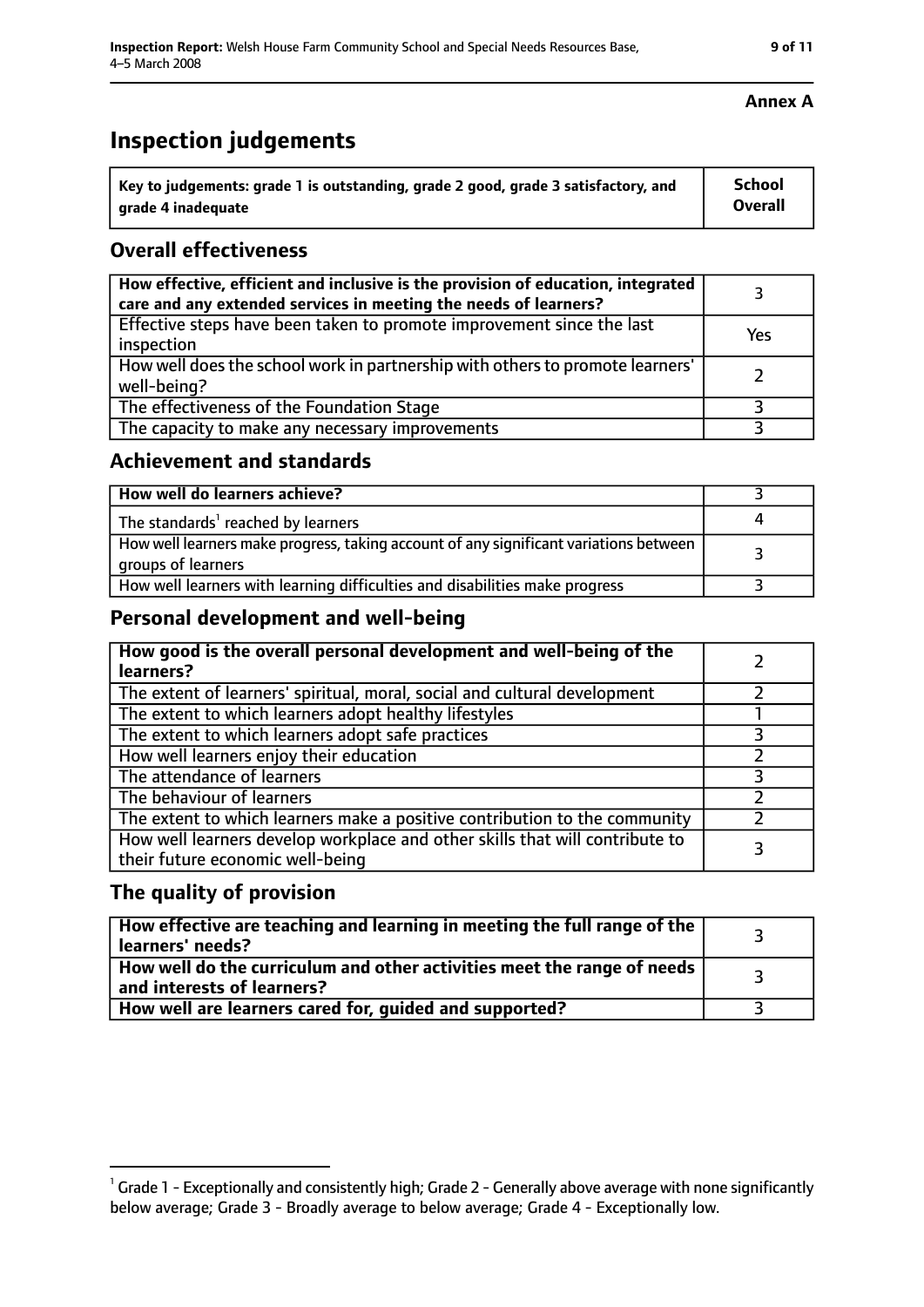## **Inspection judgements**

| $^{\cdot}$ Key to judgements: grade 1 is outstanding, grade 2 good, grade 3 satisfactory, and | School         |
|-----------------------------------------------------------------------------------------------|----------------|
| arade 4 inadequate                                                                            | <b>Overall</b> |

## **Overall effectiveness**

| How effective, efficient and inclusive is the provision of education, integrated<br>care and any extended services in meeting the needs of learners? |     |
|------------------------------------------------------------------------------------------------------------------------------------------------------|-----|
| Effective steps have been taken to promote improvement since the last<br>inspection                                                                  | Yes |
| How well does the school work in partnership with others to promote learners'<br>well-being?                                                         |     |
| The effectiveness of the Foundation Stage                                                                                                            |     |
| The capacity to make any necessary improvements                                                                                                      |     |

#### **Achievement and standards**

| How well do learners achieve?                                                                               |  |
|-------------------------------------------------------------------------------------------------------------|--|
| The standards <sup>1</sup> reached by learners                                                              |  |
| How well learners make progress, taking account of any significant variations between<br>groups of learners |  |
| How well learners with learning difficulties and disabilities make progress                                 |  |

## **Personal development and well-being**

| How good is the overall personal development and well-being of the<br>learners?                                  |  |
|------------------------------------------------------------------------------------------------------------------|--|
| The extent of learners' spiritual, moral, social and cultural development                                        |  |
| The extent to which learners adopt healthy lifestyles                                                            |  |
| The extent to which learners adopt safe practices                                                                |  |
| How well learners enjoy their education                                                                          |  |
| The attendance of learners                                                                                       |  |
| The behaviour of learners                                                                                        |  |
| The extent to which learners make a positive contribution to the community                                       |  |
| How well learners develop workplace and other skills that will contribute to<br>their future economic well-being |  |

## **The quality of provision**

| How effective are teaching and learning in meeting the full range of the<br>learners' needs?          |  |
|-------------------------------------------------------------------------------------------------------|--|
| How well do the curriculum and other activities meet the range of needs<br>and interests of learners? |  |
| How well are learners cared for, guided and supported?                                                |  |

#### **Annex A**

 $^1$  Grade 1 - Exceptionally and consistently high; Grade 2 - Generally above average with none significantly below average; Grade 3 - Broadly average to below average; Grade 4 - Exceptionally low.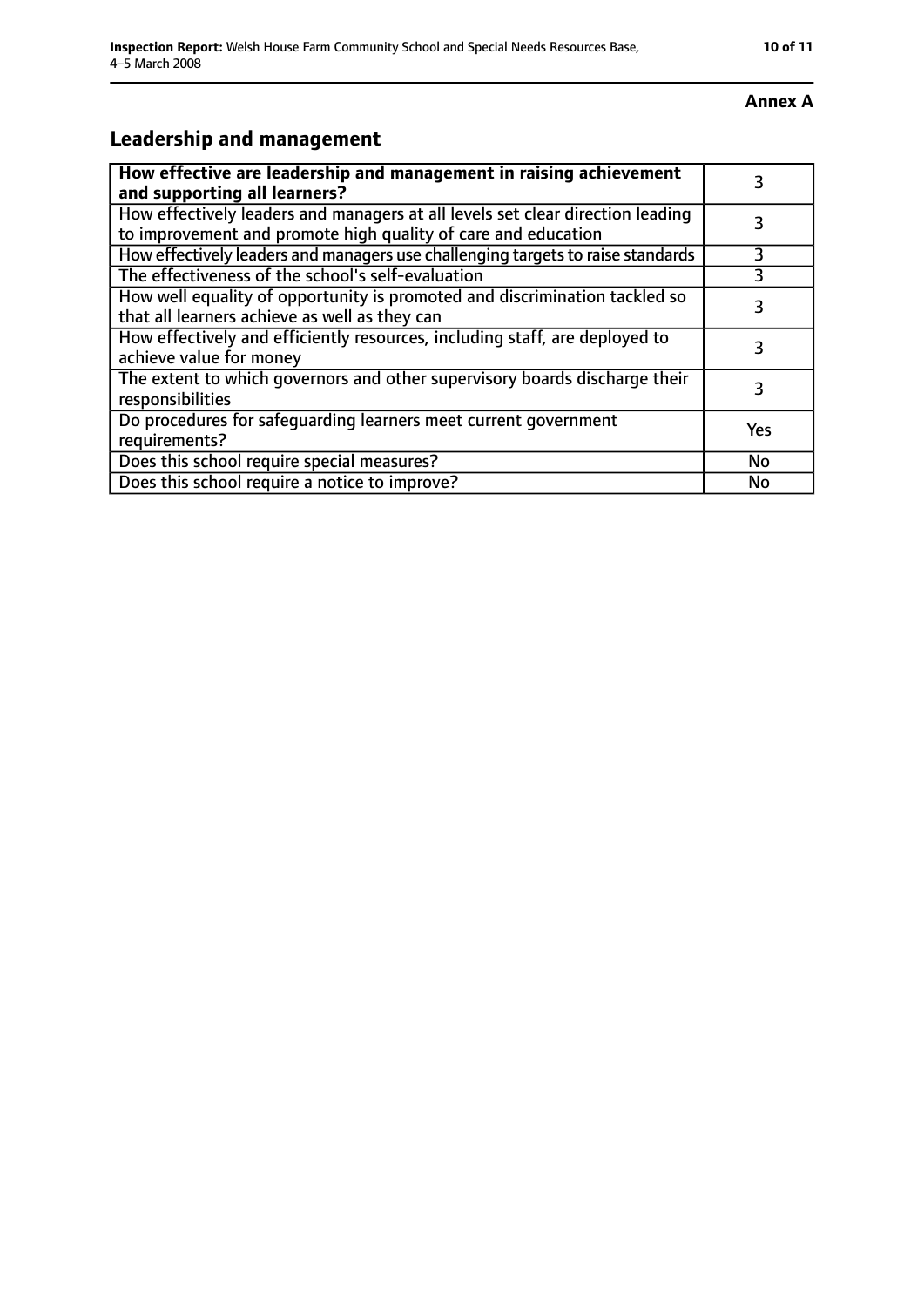#### **Annex A**

## **Leadership and management**

| How effective are leadership and management in raising achievement<br>and supporting all learners?                                              |           |
|-------------------------------------------------------------------------------------------------------------------------------------------------|-----------|
| How effectively leaders and managers at all levels set clear direction leading<br>to improvement and promote high quality of care and education |           |
| How effectively leaders and managers use challenging targets to raise standards                                                                 | 3         |
| The effectiveness of the school's self-evaluation                                                                                               | 3         |
| How well equality of opportunity is promoted and discrimination tackled so<br>that all learners achieve as well as they can                     | 3         |
| How effectively and efficiently resources, including staff, are deployed to<br>achieve value for money                                          | 3         |
| The extent to which governors and other supervisory boards discharge their<br>responsibilities                                                  | 3         |
| Do procedures for safequarding learners meet current government<br>requirements?                                                                | Yes       |
| Does this school require special measures?                                                                                                      | <b>No</b> |
| Does this school require a notice to improve?                                                                                                   | No        |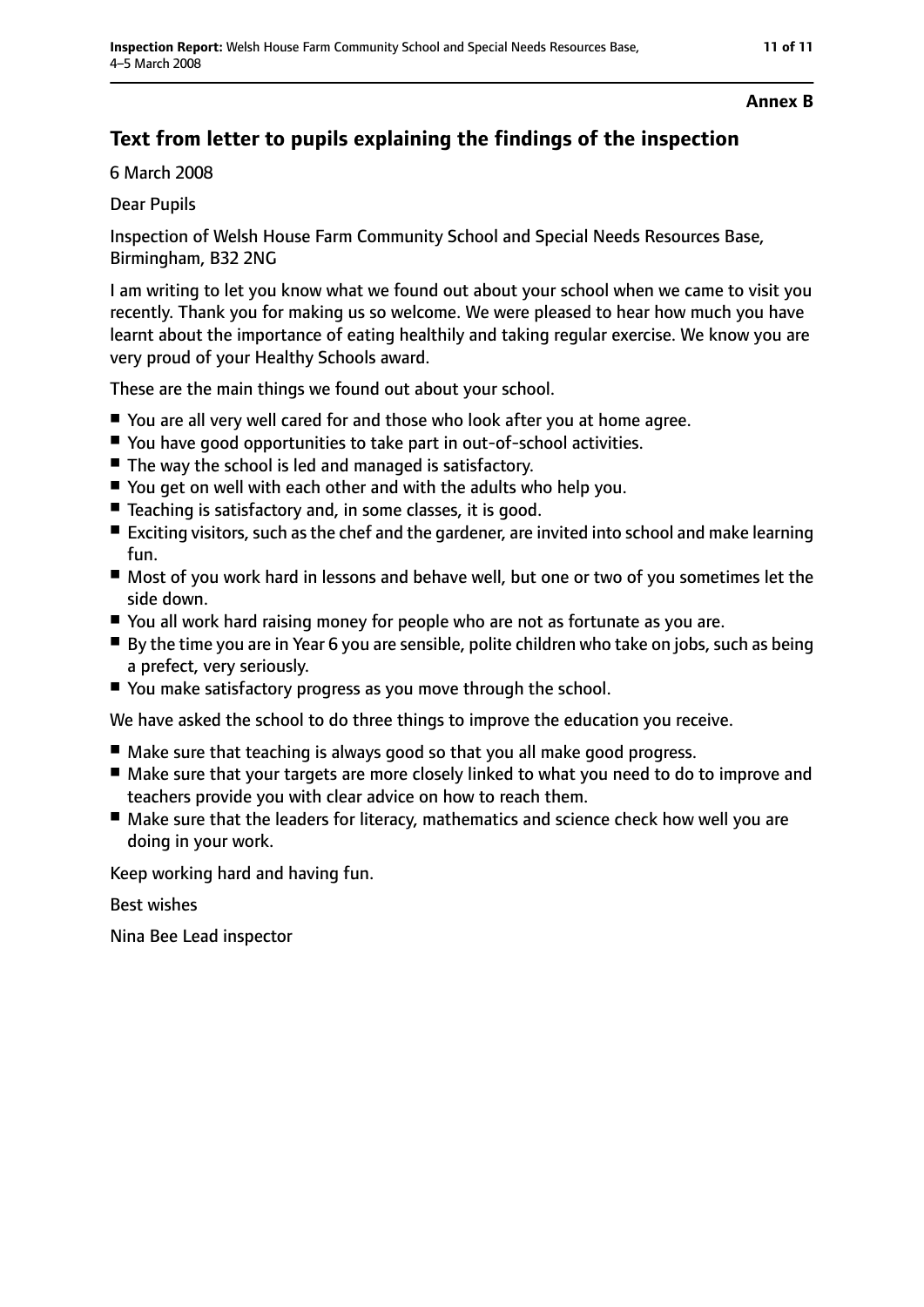#### **Annex B**

## **Text from letter to pupils explaining the findings of the inspection**

6 March 2008

## Dear Pupils

Inspection of Welsh House Farm Community School and Special Needs Resources Base, Birmingham, B32 2NG

I am writing to let you know what we found out about your school when we came to visit you recently. Thank you for making us so welcome. We were pleased to hear how much you have learnt about the importance of eating healthily and taking regular exercise. We know you are very proud of your Healthy Schools award.

These are the main things we found out about your school.

- You are all very well cared for and those who look after you at home agree.
- You have good opportunities to take part in out-of-school activities.
- The way the school is led and managed is satisfactory.
- You get on well with each other and with the adults who help you.
- Teaching is satisfactory and, in some classes, it is good.
- Exciting visitors, such as the chef and the gardener, are invited into school and make learning fun.
- Most of you work hard in lessons and behave well, but one or two of you sometimes let the side down.
- You all work hard raising money for people who are not as fortunate as you are.
- By the time you are in Year 6 you are sensible, polite children who take on jobs, such as being a prefect, very seriously.
- You make satisfactory progress as you move through the school.

We have asked the school to do three things to improve the education you receive.

- Make sure that teaching is always good so that you all make good progress.
- Make sure that your targets are more closely linked to what you need to do to improve and teachers provide you with clear advice on how to reach them.
- Make sure that the leaders for literacy, mathematics and science check how well you are doing in your work.

Keep working hard and having fun.

Best wishes

Nina Bee Lead inspector